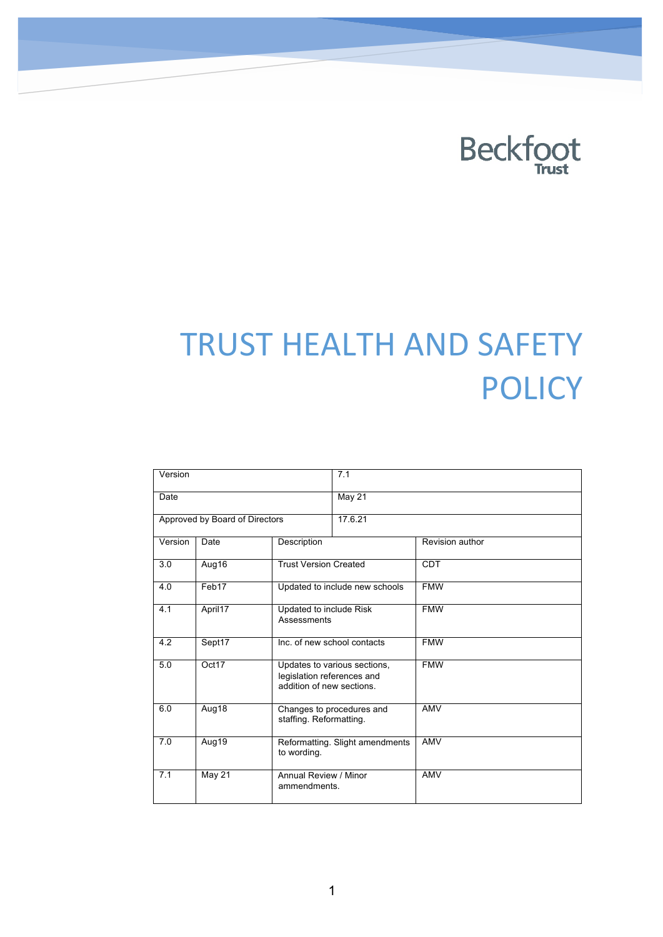

# TRUST HEALTH AND SAFETY **POLICY**

| $\overline{V}$ ersion          |           |                                                                                         | 7.1     |                 |
|--------------------------------|-----------|-----------------------------------------------------------------------------------------|---------|-----------------|
| Date                           |           |                                                                                         | May 21  |                 |
| Approved by Board of Directors |           |                                                                                         | 17.6.21 |                 |
| Version                        | Date      | Description                                                                             |         | Revision author |
| 3.0                            | Aug16     | <b>Trust Version Created</b>                                                            |         | <b>CDT</b>      |
| 4.0                            | Feb17     | Updated to include new schools                                                          |         | <b>FMW</b>      |
| 4.1                            | April17   | Updated to include Risk<br>Assessments                                                  |         | <b>FMW</b>      |
| 4.2                            | $S$ ept17 | Inc. of new school contacts                                                             |         | <b>FMW</b>      |
| 5.0                            | Oct17     | Updates to various sections,<br>legislation references and<br>addition of new sections. |         | <b>FMW</b>      |
| 6.0                            | Aug18     | Changes to procedures and<br>staffing. Reformatting.                                    |         | <b>AMV</b>      |
| 7.0                            | Aug19     | Reformatting. Slight amendments<br>to wording.                                          |         | AMV             |
| 7.1                            | May 21    | Annual Review / Minor<br>ammendments.                                                   |         | <b>AMV</b>      |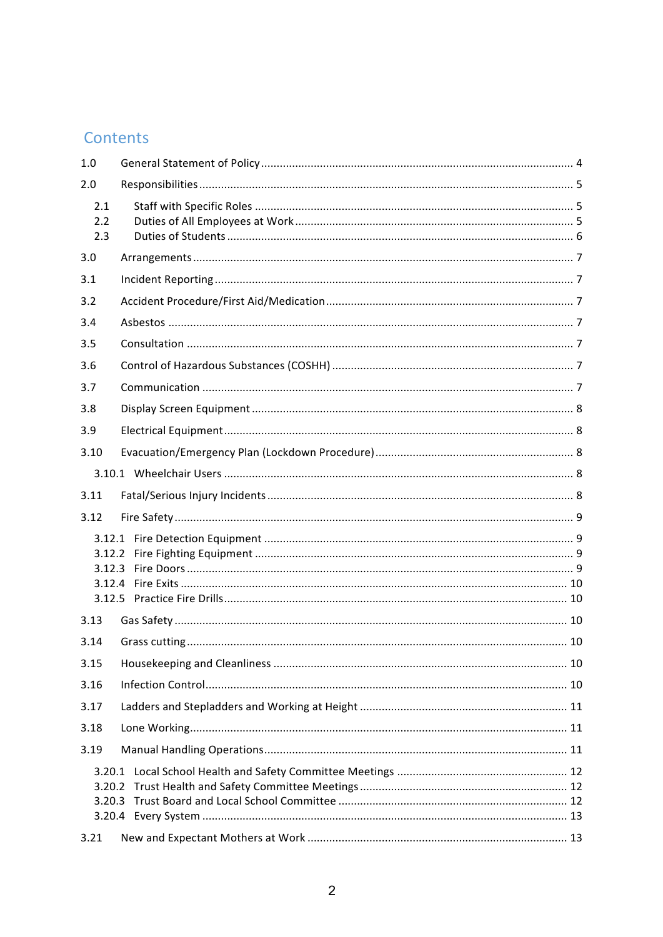### Contents

| 1.0                        |  |  |  |  |  |
|----------------------------|--|--|--|--|--|
| 2.0                        |  |  |  |  |  |
| 2.1<br>2.2<br>2.3          |  |  |  |  |  |
| 3.0                        |  |  |  |  |  |
| 3.1                        |  |  |  |  |  |
| 3.2                        |  |  |  |  |  |
| 3.4                        |  |  |  |  |  |
| 3.5                        |  |  |  |  |  |
| 3.6                        |  |  |  |  |  |
| 3.7                        |  |  |  |  |  |
| 3.8                        |  |  |  |  |  |
| 3.9                        |  |  |  |  |  |
| 3.10                       |  |  |  |  |  |
|                            |  |  |  |  |  |
| 3.11                       |  |  |  |  |  |
| 3.12                       |  |  |  |  |  |
| 3.12.2<br>3.12.3<br>3.12.4 |  |  |  |  |  |
| 3.13                       |  |  |  |  |  |
| 3.14                       |  |  |  |  |  |
| 3.15                       |  |  |  |  |  |
| 3.16                       |  |  |  |  |  |
| 3.17                       |  |  |  |  |  |
| 3.18                       |  |  |  |  |  |
| 3.19                       |  |  |  |  |  |
| 3.20.1<br>3.20.2           |  |  |  |  |  |
| 3.21                       |  |  |  |  |  |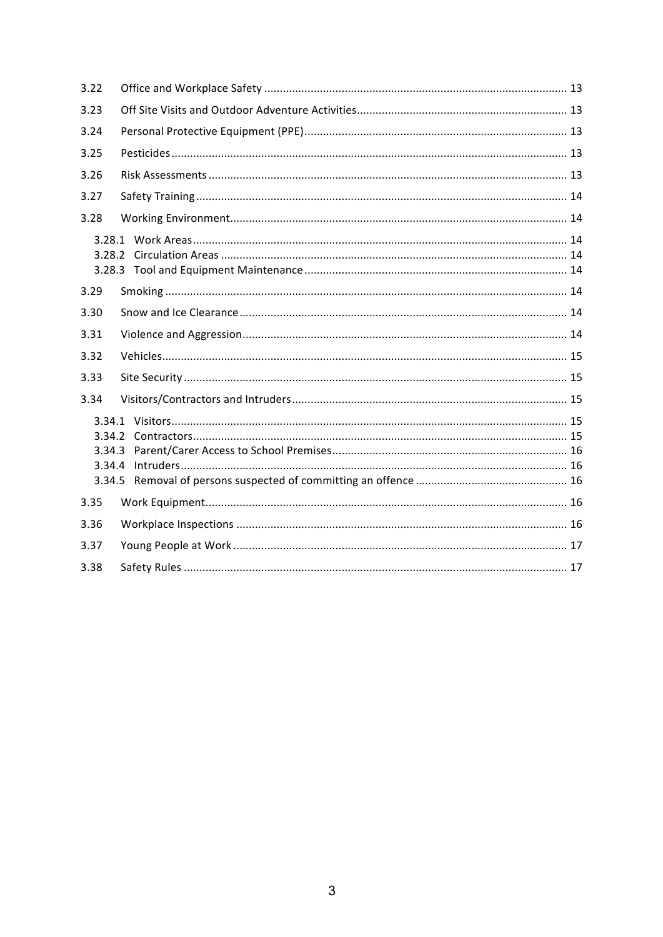| 3.22                       |  |  |  |
|----------------------------|--|--|--|
| 3.23                       |  |  |  |
| 3.24                       |  |  |  |
| 3.25                       |  |  |  |
| 3.26                       |  |  |  |
| 3.27                       |  |  |  |
| 3.28                       |  |  |  |
| 3.28.2                     |  |  |  |
| 3.29                       |  |  |  |
| 3.30                       |  |  |  |
| 3.31                       |  |  |  |
| 3.32                       |  |  |  |
| 3.33                       |  |  |  |
| 3.34                       |  |  |  |
| 3.34.2<br>3.34.3<br>3.34.4 |  |  |  |
| 3.35                       |  |  |  |
| 3.36                       |  |  |  |
| 3.37                       |  |  |  |
| 3.38                       |  |  |  |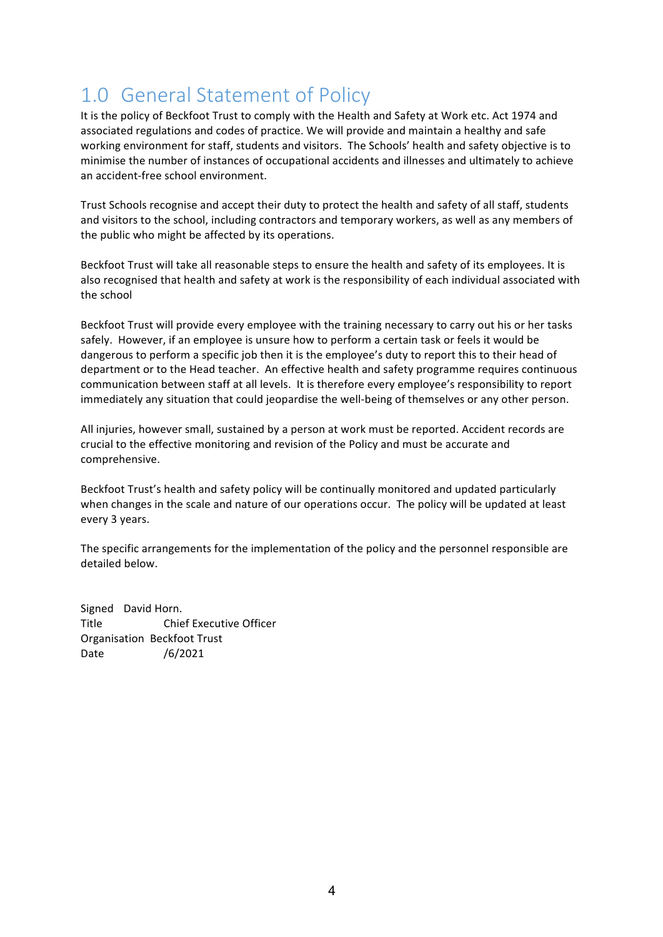### 1.0 General Statement of Policy

It is the policy of Beckfoot Trust to comply with the Health and Safety at Work etc. Act 1974 and associated regulations and codes of practice. We will provide and maintain a healthy and safe working environment for staff, students and visitors. The Schools' health and safety objective is to minimise the number of instances of occupational accidents and illnesses and ultimately to achieve an accident-free school environment.

Trust Schools recognise and accept their duty to protect the health and safety of all staff, students and visitors to the school, including contractors and temporary workers, as well as any members of the public who might be affected by its operations.

Beckfoot Trust will take all reasonable steps to ensure the health and safety of its employees. It is also recognised that health and safety at work is the responsibility of each individual associated with the school

Beckfoot Trust will provide every employee with the training necessary to carry out his or her tasks safely. However, if an employee is unsure how to perform a certain task or feels it would be dangerous to perform a specific job then it is the employee's duty to report this to their head of department or to the Head teacher. An effective health and safety programme requires continuous communication between staff at all levels. It is therefore every employee's responsibility to report immediately any situation that could jeopardise the well-being of themselves or any other person.

All injuries, however small, sustained by a person at work must be reported. Accident records are crucial to the effective monitoring and revision of the Policy and must be accurate and comprehensive.

Beckfoot Trust's health and safety policy will be continually monitored and updated particularly when changes in the scale and nature of our operations occur. The policy will be updated at least every 3 years.

The specific arrangements for the implementation of the policy and the personnel responsible are detailed below.

Signed David Horn. Title Chief Executive Officer Organisation Beckfoot Trust Date /6/2021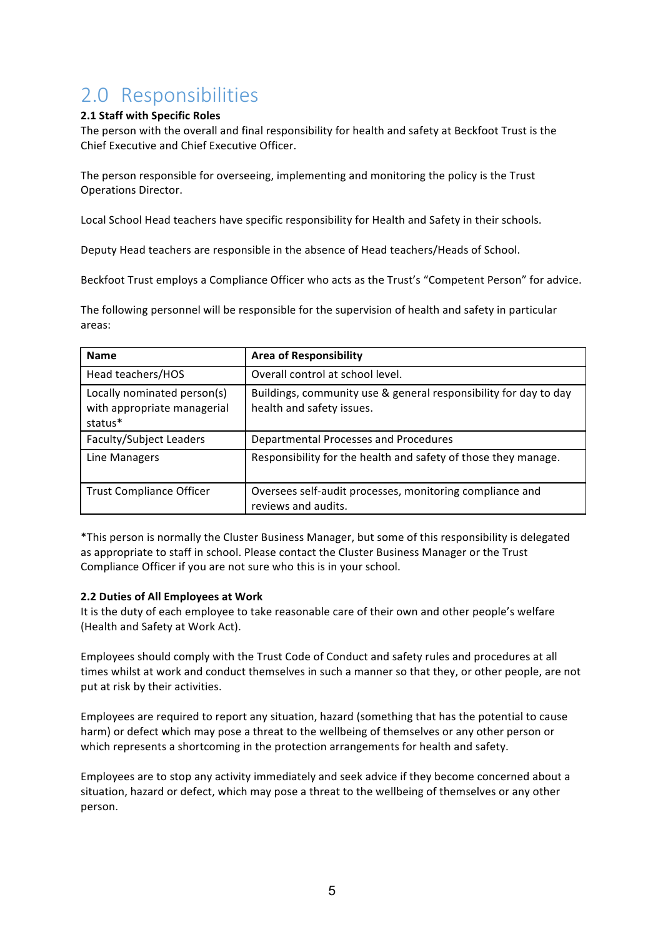### 2.0 Responsibilities

#### **2.1 Staff with Specific Roles**

The person with the overall and final responsibility for health and safety at Beckfoot Trust is the Chief Executive and Chief Executive Officer.

The person responsible for overseeing, implementing and monitoring the policy is the Trust Operations Director.

Local School Head teachers have specific responsibility for Health and Safety in their schools.

Deputy Head teachers are responsible in the absence of Head teachers/Heads of School.

Beckfoot Trust employs a Compliance Officer who acts as the Trust's "Competent Person" for advice.

The following personnel will be responsible for the supervision of health and safety in particular areas:

| <b>Name</b>                                                           | <b>Area of Responsibility</b>                                                                 |  |
|-----------------------------------------------------------------------|-----------------------------------------------------------------------------------------------|--|
| Head teachers/HOS                                                     | Overall control at school level.                                                              |  |
| Locally nominated person(s)<br>with appropriate managerial<br>status* | Buildings, community use & general responsibility for day to day<br>health and safety issues. |  |
| Faculty/Subject Leaders                                               | Departmental Processes and Procedures                                                         |  |
| Line Managers                                                         | Responsibility for the health and safety of those they manage.                                |  |
| <b>Trust Compliance Officer</b>                                       | Oversees self-audit processes, monitoring compliance and<br>reviews and audits.               |  |

\*This person is normally the Cluster Business Manager, but some of this responsibility is delegated as appropriate to staff in school. Please contact the Cluster Business Manager or the Trust Compliance Officer if you are not sure who this is in your school.

#### **2.2 Duties of All Employees at Work**

It is the duty of each employee to take reasonable care of their own and other people's welfare (Health and Safety at Work Act).

Employees should comply with the Trust Code of Conduct and safety rules and procedures at all times whilst at work and conduct themselves in such a manner so that they, or other people, are not put at risk by their activities.

Employees are required to report any situation, hazard (something that has the potential to cause harm) or defect which may pose a threat to the wellbeing of themselves or any other person or which represents a shortcoming in the protection arrangements for health and safety.

Employees are to stop any activity immediately and seek advice if they become concerned about a situation, hazard or defect, which may pose a threat to the wellbeing of themselves or any other person.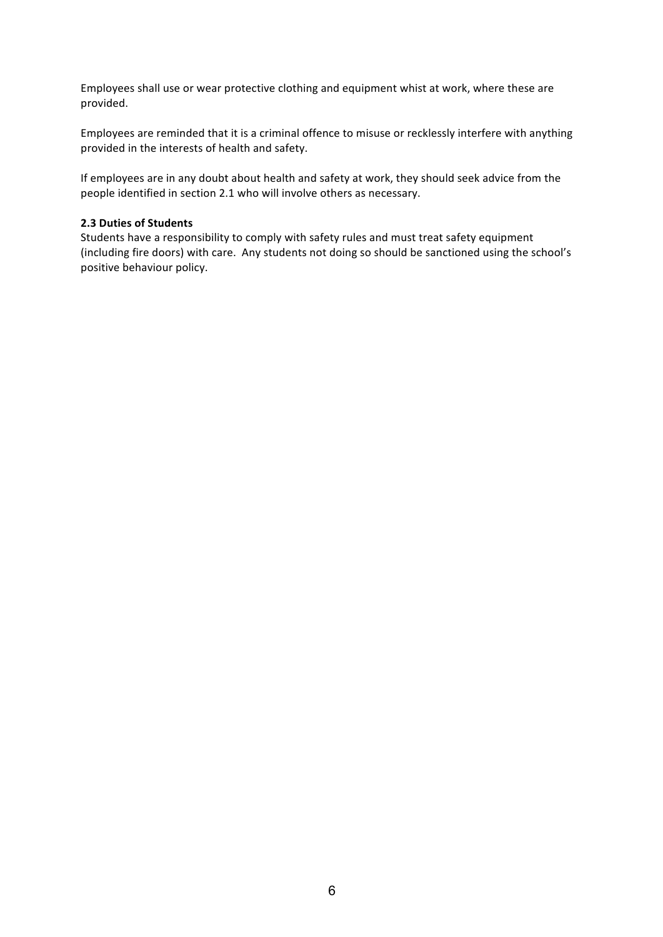Employees shall use or wear protective clothing and equipment whist at work, where these are provided.

Employees are reminded that it is a criminal offence to misuse or recklessly interfere with anything provided in the interests of health and safety.

If employees are in any doubt about health and safety at work, they should seek advice from the people identified in section 2.1 who will involve others as necessary.

#### **2.3 Duties of Students**

Students have a responsibility to comply with safety rules and must treat safety equipment (including fire doors) with care. Any students not doing so should be sanctioned using the school's positive behaviour policy.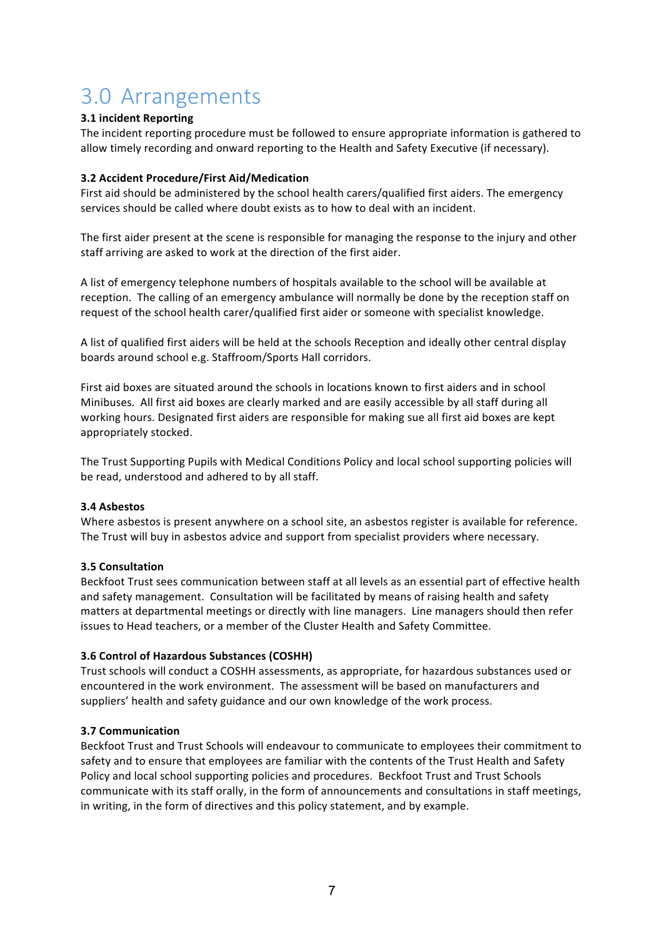## 3.0 Arrangements

#### **3.1 incident Reporting**

The incident reporting procedure must be followed to ensure appropriate information is gathered to allow timely recording and onward reporting to the Health and Safety Executive (if necessary).

#### **3.2 Accident Procedure/First Aid/Medication**

First aid should be administered by the school health carers/qualified first aiders. The emergency services should be called where doubt exists as to how to deal with an incident.

The first aider present at the scene is responsible for managing the response to the injury and other staff arriving are asked to work at the direction of the first aider.

A list of emergency telephone numbers of hospitals available to the school will be available at reception. The calling of an emergency ambulance will normally be done by the reception staff on request of the school health carer/qualified first aider or someone with specialist knowledge.

A list of qualified first aiders will be held at the schools Reception and ideally other central display boards around school e.g. Staffroom/Sports Hall corridors.

First aid boxes are situated around the schools in locations known to first aiders and in school Minibuses. All first aid boxes are clearly marked and are easily accessible by all staff during all working hours. Designated first aiders are responsible for making sue all first aid boxes are kept appropriately stocked.

The Trust Supporting Pupils with Medical Conditions Policy and local school supporting policies will be read, understood and adhered to by all staff.

#### **3.4 Asbestos**

Where asbestos is present anywhere on a school site, an asbestos register is available for reference. The Trust will buy in asbestos advice and support from specialist providers where necessary.

#### **3.5 Consultation**

Beckfoot Trust sees communication between staff at all levels as an essential part of effective health and safety management. Consultation will be facilitated by means of raising health and safety matters at departmental meetings or directly with line managers. Line managers should then refer issues to Head teachers, or a member of the Cluster Health and Safety Committee.

#### **3.6 Control of Hazardous Substances (COSHH)**

Trust schools will conduct a COSHH assessments, as appropriate, for hazardous substances used or encountered in the work environment. The assessment will be based on manufacturers and suppliers' health and safety guidance and our own knowledge of the work process.

#### **3.7 Communication**

Beckfoot Trust and Trust Schools will endeavour to communicate to employees their commitment to safety and to ensure that employees are familiar with the contents of the Trust Health and Safety Policy and local school supporting policies and procedures. Beckfoot Trust and Trust Schools communicate with its staff orally, in the form of announcements and consultations in staff meetings, in writing, in the form of directives and this policy statement, and by example.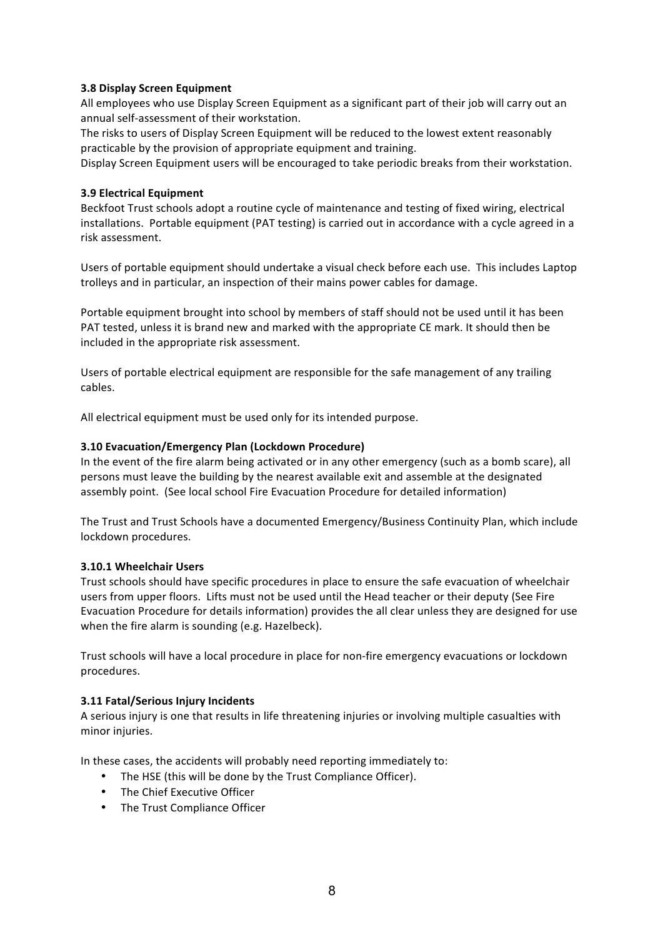#### **3.8 Display Screen Equipment**

All employees who use Display Screen Equipment as a significant part of their job will carry out an annual self-assessment of their workstation.

The risks to users of Display Screen Equipment will be reduced to the lowest extent reasonably practicable by the provision of appropriate equipment and training.

Display Screen Equipment users will be encouraged to take periodic breaks from their workstation.

#### **3.9 Electrical Equipment**

Beckfoot Trust schools adopt a routine cycle of maintenance and testing of fixed wiring, electrical installations. Portable equipment (PAT testing) is carried out in accordance with a cycle agreed in a risk assessment.

Users of portable equipment should undertake a visual check before each use. This includes Laptop trolleys and in particular, an inspection of their mains power cables for damage.

Portable equipment brought into school by members of staff should not be used until it has been PAT tested, unless it is brand new and marked with the appropriate CE mark. It should then be included in the appropriate risk assessment.

Users of portable electrical equipment are responsible for the safe management of any trailing cables.

All electrical equipment must be used only for its intended purpose.

#### **3.10 Evacuation/Emergency Plan (Lockdown Procedure)**

In the event of the fire alarm being activated or in any other emergency (such as a bomb scare), all persons must leave the building by the nearest available exit and assemble at the designated assembly point. (See local school Fire Evacuation Procedure for detailed information)

The Trust and Trust Schools have a documented Emergency/Business Continuity Plan, which include lockdown procedures.

#### **3.10.1 Wheelchair Users**

Trust schools should have specific procedures in place to ensure the safe evacuation of wheelchair users from upper floors. Lifts must not be used until the Head teacher or their deputy (See Fire Evacuation Procedure for details information) provides the all clear unless they are designed for use when the fire alarm is sounding (e.g. Hazelbeck).

Trust schools will have a local procedure in place for non-fire emergency evacuations or lockdown procedures.

#### **3.11 Fatal/Serious Injury Incidents**

A serious injury is one that results in life threatening injuries or involving multiple casualties with minor injuries.

In these cases, the accidents will probably need reporting immediately to:

- The HSE (this will be done by the Trust Compliance Officer).
- The Chief Executive Officer
- The Trust Compliance Officer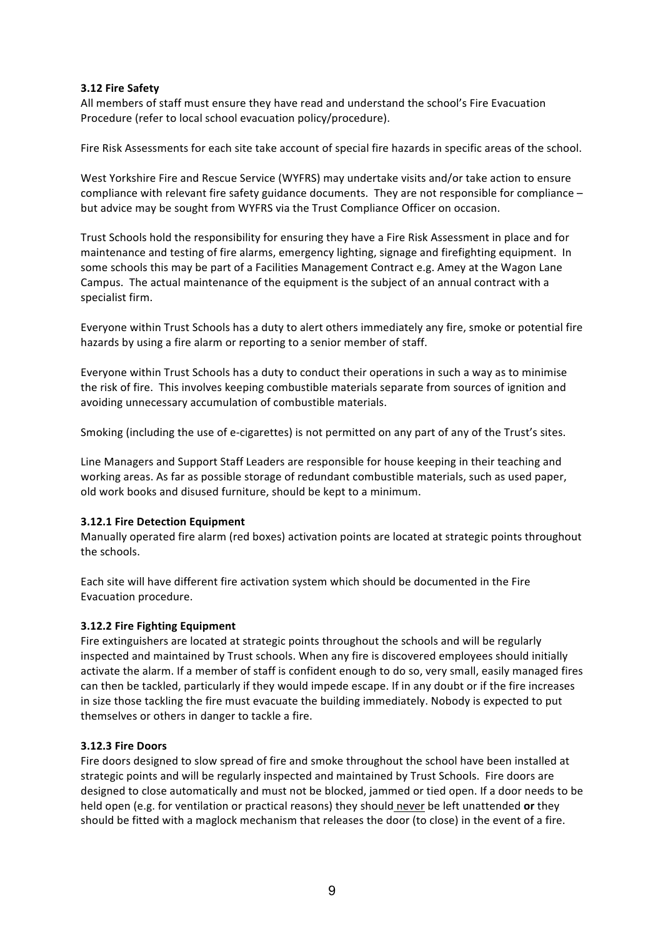#### **3.12 Fire Safety**

All members of staff must ensure they have read and understand the school's Fire Evacuation Procedure (refer to local school evacuation policy/procedure).

Fire Risk Assessments for each site take account of special fire hazards in specific areas of the school.

West Yorkshire Fire and Rescue Service (WYFRS) may undertake visits and/or take action to ensure compliance with relevant fire safety guidance documents. They are not responsible for compliance  $$ but advice may be sought from WYFRS via the Trust Compliance Officer on occasion.

Trust Schools hold the responsibility for ensuring they have a Fire Risk Assessment in place and for maintenance and testing of fire alarms, emergency lighting, signage and firefighting equipment. In some schools this may be part of a Facilities Management Contract e.g. Amey at the Wagon Lane Campus. The actual maintenance of the equipment is the subject of an annual contract with a specialist firm.

Everyone within Trust Schools has a duty to alert others immediately any fire, smoke or potential fire hazards by using a fire alarm or reporting to a senior member of staff.

Everyone within Trust Schools has a duty to conduct their operations in such a way as to minimise the risk of fire. This involves keeping combustible materials separate from sources of ignition and avoiding unnecessary accumulation of combustible materials.

Smoking (including the use of e-cigarettes) is not permitted on any part of any of the Trust's sites.

Line Managers and Support Staff Leaders are responsible for house keeping in their teaching and working areas. As far as possible storage of redundant combustible materials, such as used paper, old work books and disused furniture, should be kept to a minimum.

#### **3.12.1 Fire Detection Equipment**

Manually operated fire alarm (red boxes) activation points are located at strategic points throughout the schools.

Each site will have different fire activation system which should be documented in the Fire Evacuation procedure.

#### **3.12.2 Fire Fighting Equipment**

Fire extinguishers are located at strategic points throughout the schools and will be regularly inspected and maintained by Trust schools. When any fire is discovered employees should initially activate the alarm. If a member of staff is confident enough to do so, very small, easily managed fires can then be tackled, particularly if they would impede escape. If in any doubt or if the fire increases in size those tackling the fire must evacuate the building immediately. Nobody is expected to put themselves or others in danger to tackle a fire.

#### **3.12.3 Fire Doors**

Fire doors designed to slow spread of fire and smoke throughout the school have been installed at strategic points and will be regularly inspected and maintained by Trust Schools. Fire doors are designed to close automatically and must not be blocked, jammed or tied open. If a door needs to be held open (e.g. for ventilation or practical reasons) they should never be left unattended or they should be fitted with a maglock mechanism that releases the door (to close) in the event of a fire.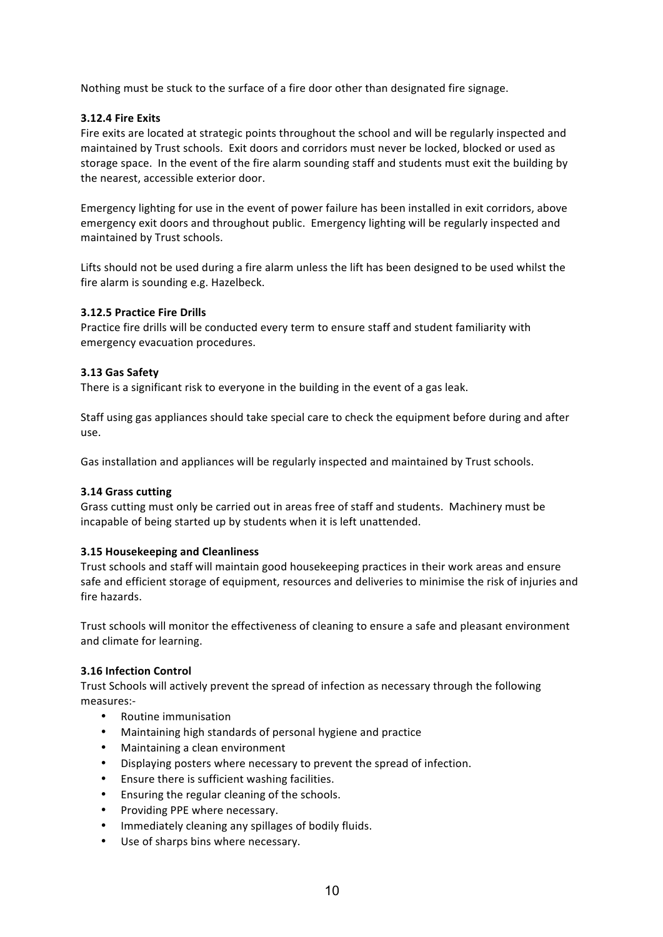Nothing must be stuck to the surface of a fire door other than designated fire signage.

#### **3.12.4 Fire Exits**

Fire exits are located at strategic points throughout the school and will be regularly inspected and maintained by Trust schools. Exit doors and corridors must never be locked, blocked or used as storage space. In the event of the fire alarm sounding staff and students must exit the building by the nearest, accessible exterior door.

Emergency lighting for use in the event of power failure has been installed in exit corridors, above emergency exit doors and throughout public. Emergency lighting will be regularly inspected and maintained by Trust schools.

Lifts should not be used during a fire alarm unless the lift has been designed to be used whilst the fire alarm is sounding e.g. Hazelbeck.

#### **3.12.5 Practice Fire Drills**

Practice fire drills will be conducted every term to ensure staff and student familiarity with emergency evacuation procedures.

#### **3.13 Gas Safety**

There is a significant risk to everyone in the building in the event of a gas leak.

Staff using gas appliances should take special care to check the equipment before during and after use.

Gas installation and appliances will be regularly inspected and maintained by Trust schools.

#### **3.14 Grass cutting**

Grass cutting must only be carried out in areas free of staff and students. Machinery must be incapable of being started up by students when it is left unattended.

#### **3.15 Housekeeping and Cleanliness**

Trust schools and staff will maintain good housekeeping practices in their work areas and ensure safe and efficient storage of equipment, resources and deliveries to minimise the risk of injuries and fire hazards.

Trust schools will monitor the effectiveness of cleaning to ensure a safe and pleasant environment and climate for learning.

#### **3.16 Infection Control**

Trust Schools will actively prevent the spread of infection as necessary through the following measures:-

- Routine immunisation
- Maintaining high standards of personal hygiene and practice
- Maintaining a clean environment
- Displaying posters where necessary to prevent the spread of infection.
- Ensure there is sufficient washing facilities.
- Ensuring the regular cleaning of the schools.
- Providing PPE where necessary.
- Immediately cleaning any spillages of bodily fluids.
- Use of sharps bins where necessary.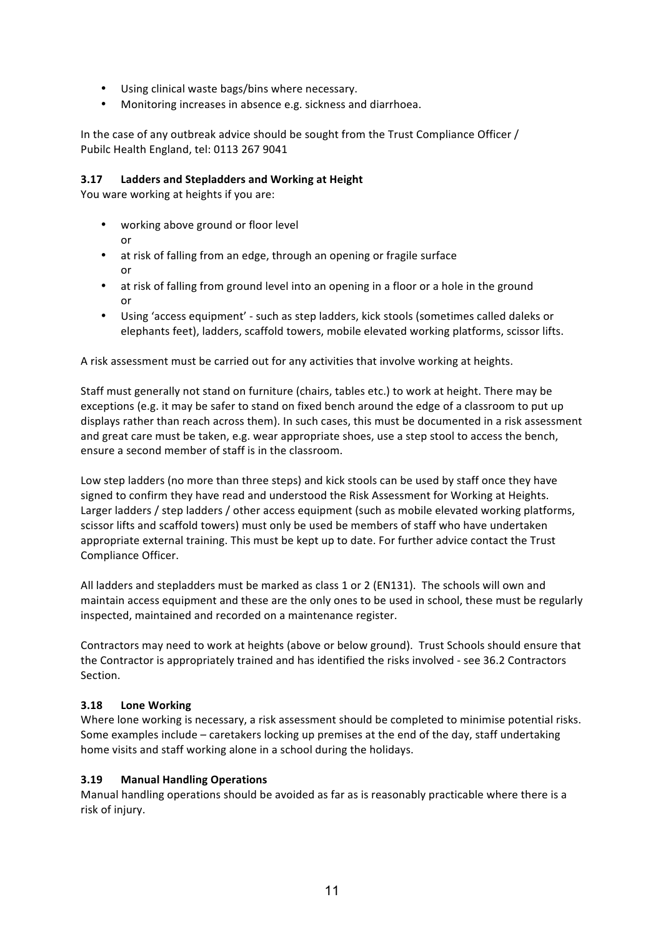- Using clinical waste bags/bins where necessary.
- Monitoring increases in absence e.g. sickness and diarrhoea.

In the case of any outbreak advice should be sought from the Trust Compliance Officer / Pubilc Health England, tel: 0113 267 9041

#### **3.17 Ladders and Stepladders and Working at Height**

You ware working at heights if you are:

- working above ground or floor level or
- at risk of falling from an edge, through an opening or fragile surface or
- at risk of falling from ground level into an opening in a floor or a hole in the ground or
- Using 'access equipment' such as step ladders, kick stools (sometimes called daleks or elephants feet), ladders, scaffold towers, mobile elevated working platforms, scissor lifts.

A risk assessment must be carried out for any activities that involve working at heights.

Staff must generally not stand on furniture (chairs, tables etc.) to work at height. There may be exceptions (e.g. it may be safer to stand on fixed bench around the edge of a classroom to put up displays rather than reach across them). In such cases, this must be documented in a risk assessment and great care must be taken, e.g. wear appropriate shoes, use a step stool to access the bench, ensure a second member of staff is in the classroom.

Low step ladders (no more than three steps) and kick stools can be used by staff once they have signed to confirm they have read and understood the Risk Assessment for Working at Heights. Larger ladders / step ladders / other access equipment (such as mobile elevated working platforms, scissor lifts and scaffold towers) must only be used be members of staff who have undertaken appropriate external training. This must be kept up to date. For further advice contact the Trust Compliance Officer. 

All ladders and stepladders must be marked as class 1 or 2 (EN131). The schools will own and maintain access equipment and these are the only ones to be used in school, these must be regularly inspected, maintained and recorded on a maintenance register.

Contractors may need to work at heights (above or below ground). Trust Schools should ensure that the Contractor is appropriately trained and has identified the risks involved - see 36.2 Contractors Section.

#### **3.18 Lone Working**

Where lone working is necessary, a risk assessment should be completed to minimise potential risks. Some examples include – caretakers locking up premises at the end of the day, staff undertaking home visits and staff working alone in a school during the holidays.

#### **3.19 Manual Handling Operations**

Manual handling operations should be avoided as far as is reasonably practicable where there is a risk of injury.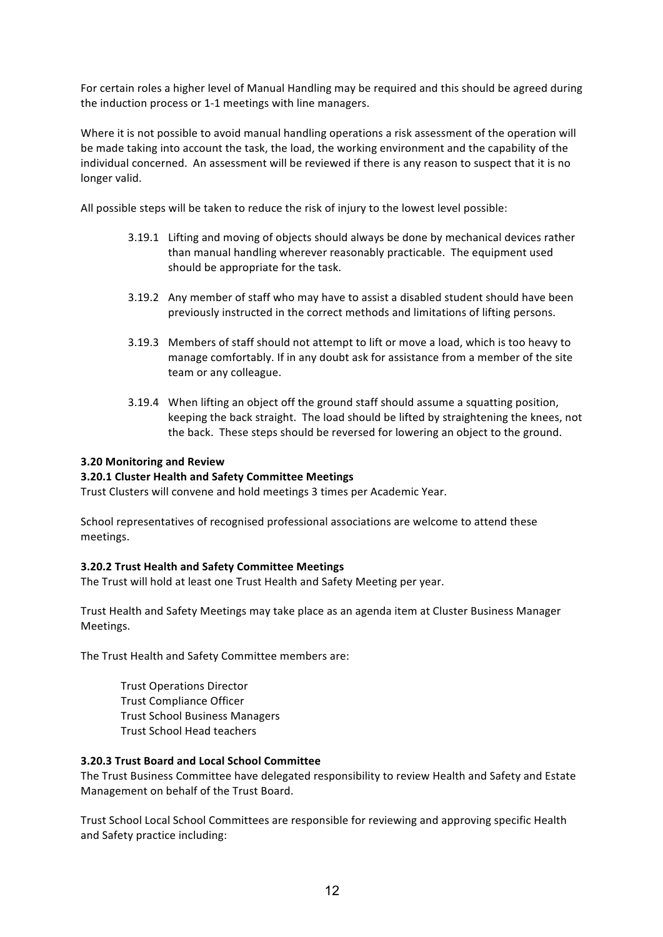For certain roles a higher level of Manual Handling may be required and this should be agreed during the induction process or 1-1 meetings with line managers.

Where it is not possible to avoid manual handling operations a risk assessment of the operation will be made taking into account the task, the load, the working environment and the capability of the individual concerned. An assessment will be reviewed if there is any reason to suspect that it is no longer valid.

All possible steps will be taken to reduce the risk of injury to the lowest level possible:

- 3.19.1 Lifting and moving of objects should always be done by mechanical devices rather than manual handling wherever reasonably practicable. The equipment used should be appropriate for the task.
- 3.19.2 Any member of staff who may have to assist a disabled student should have been previously instructed in the correct methods and limitations of lifting persons.
- 3.19.3 Members of staff should not attempt to lift or move a load, which is too heavy to manage comfortably. If in any doubt ask for assistance from a member of the site team or any colleague.
- 3.19.4 When lifting an object off the ground staff should assume a squatting position, keeping the back straight. The load should be lifted by straightening the knees, not the back. These steps should be reversed for lowering an object to the ground.

#### **3.20 Monitoring and Review**

#### **3.20.1 Cluster Health and Safety Committee Meetings**

Trust Clusters will convene and hold meetings 3 times per Academic Year.

School representatives of recognised professional associations are welcome to attend these meetings.

#### **3.20.2 Trust Health and Safety Committee Meetings**

The Trust will hold at least one Trust Health and Safety Meeting per year.

Trust Health and Safety Meetings may take place as an agenda item at Cluster Business Manager Meetings.

The Trust Health and Safety Committee members are:

Trust Operations Director Trust Compliance Officer Trust School Business Managers Trust School Head teachers

#### **3.20.3 Trust Board and Local School Committee**

The Trust Business Committee have delegated responsibility to review Health and Safety and Estate Management on behalf of the Trust Board.

Trust School Local School Committees are responsible for reviewing and approving specific Health and Safety practice including: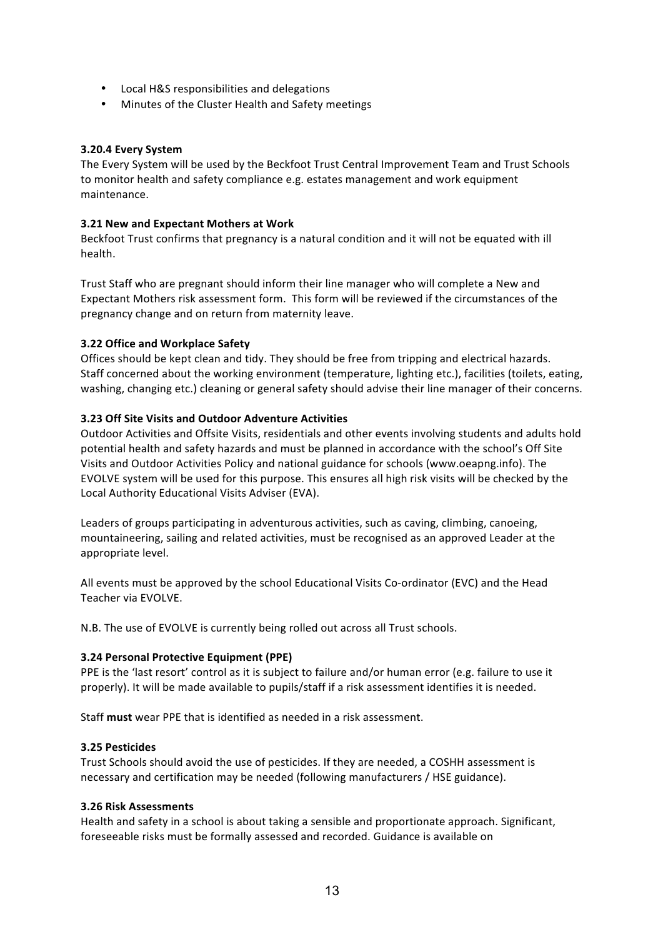- Local H&S responsibilities and delegations
- Minutes of the Cluster Health and Safety meetings

#### **3.20.4 Every System**

The Every System will be used by the Beckfoot Trust Central Improvement Team and Trust Schools to monitor health and safety compliance e.g. estates management and work equipment maintenance.

#### **3.21 New and Expectant Mothers at Work**

Beckfoot Trust confirms that pregnancy is a natural condition and it will not be equated with ill health. 

Trust Staff who are pregnant should inform their line manager who will complete a New and Expectant Mothers risk assessment form. This form will be reviewed if the circumstances of the pregnancy change and on return from maternity leave.

#### **3.22 Office and Workplace Safety**

Offices should be kept clean and tidy. They should be free from tripping and electrical hazards. Staff concerned about the working environment (temperature, lighting etc.), facilities (toilets, eating, washing, changing etc.) cleaning or general safety should advise their line manager of their concerns.

#### **3.23 Off Site Visits and Outdoor Adventure Activities**

Outdoor Activities and Offsite Visits, residentials and other events involving students and adults hold potential health and safety hazards and must be planned in accordance with the school's Off Site Visits and Outdoor Activities Policy and national guidance for schools (www.oeapng.info). The EVOLVE system will be used for this purpose. This ensures all high risk visits will be checked by the Local Authority Educational Visits Adviser (EVA).

Leaders of groups participating in adventurous activities, such as caving, climbing, canoeing, mountaineering, sailing and related activities, must be recognised as an approved Leader at the appropriate level.

All events must be approved by the school Educational Visits Co-ordinator (EVC) and the Head Teacher via FVOLVE.

N.B. The use of EVOLVE is currently being rolled out across all Trust schools.

#### **3.24 Personal Protective Equipment (PPE)**

PPE is the 'last resort' control as it is subject to failure and/or human error (e.g. failure to use it properly). It will be made available to pupils/staff if a risk assessment identifies it is needed.

Staff **must** wear PPE that is identified as needed in a risk assessment.

#### **3.25 Pesticides**

Trust Schools should avoid the use of pesticides. If they are needed, a COSHH assessment is necessary and certification may be needed (following manufacturers / HSE guidance).

#### **3.26 Risk Assessments**

Health and safety in a school is about taking a sensible and proportionate approach. Significant, foreseeable risks must be formally assessed and recorded. Guidance is available on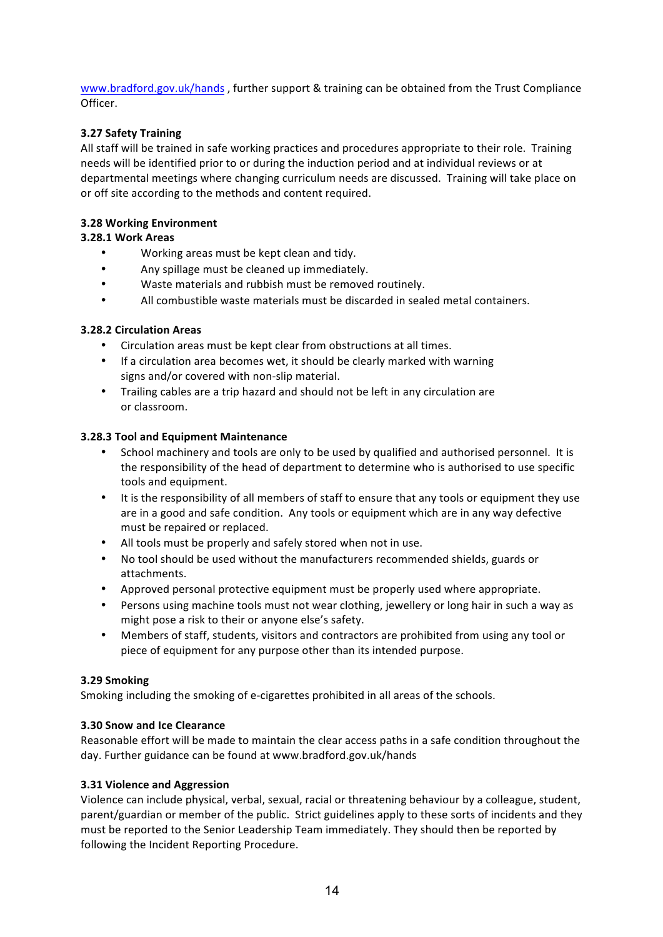www.bradford.gov.uk/hands, further support & training can be obtained from the Trust Compliance Officer. 

#### **3.27 Safety Training**

All staff will be trained in safe working practices and procedures appropriate to their role. Training needs will be identified prior to or during the induction period and at individual reviews or at departmental meetings where changing curriculum needs are discussed. Training will take place on or off site according to the methods and content required.

#### **3.28 Working Environment**

#### **3.28.1 Work Areas**

- Working areas must be kept clean and tidy.
- Any spillage must be cleaned up immediately.
- Waste materials and rubbish must be removed routinely.
- All combustible waste materials must be discarded in sealed metal containers.

#### **3.28.2 Circulation Areas**

- Circulation areas must be kept clear from obstructions at all times.
- If a circulation area becomes wet, it should be clearly marked with warning signs and/or covered with non-slip material.
- Trailing cables are a trip hazard and should not be left in any circulation are or classroom.

#### **3.28.3 Tool and Equipment Maintenance**

- School machinery and tools are only to be used by qualified and authorised personnel. It is the responsibility of the head of department to determine who is authorised to use specific tools and equipment.
- It is the responsibility of all members of staff to ensure that any tools or equipment they use are in a good and safe condition. Any tools or equipment which are in any way defective must be repaired or replaced.
- All tools must be properly and safely stored when not in use.
- No tool should be used without the manufacturers recommended shields, guards or attachments.
- Approved personal protective equipment must be properly used where appropriate.
- Persons using machine tools must not wear clothing, jewellery or long hair in such a way as might pose a risk to their or anyone else's safety.
- Members of staff, students, visitors and contractors are prohibited from using any tool or piece of equipment for any purpose other than its intended purpose.

#### **3.29 Smoking**

Smoking including the smoking of e-cigarettes prohibited in all areas of the schools.

#### **3.30 Snow and Ice Clearance**

Reasonable effort will be made to maintain the clear access paths in a safe condition throughout the day. Further guidance can be found at www.bradford.gov.uk/hands

#### **3.31 Violence and Aggression**

Violence can include physical, verbal, sexual, racial or threatening behaviour by a colleague, student, parent/guardian or member of the public. Strict guidelines apply to these sorts of incidents and they must be reported to the Senior Leadership Team immediately. They should then be reported by following the Incident Reporting Procedure.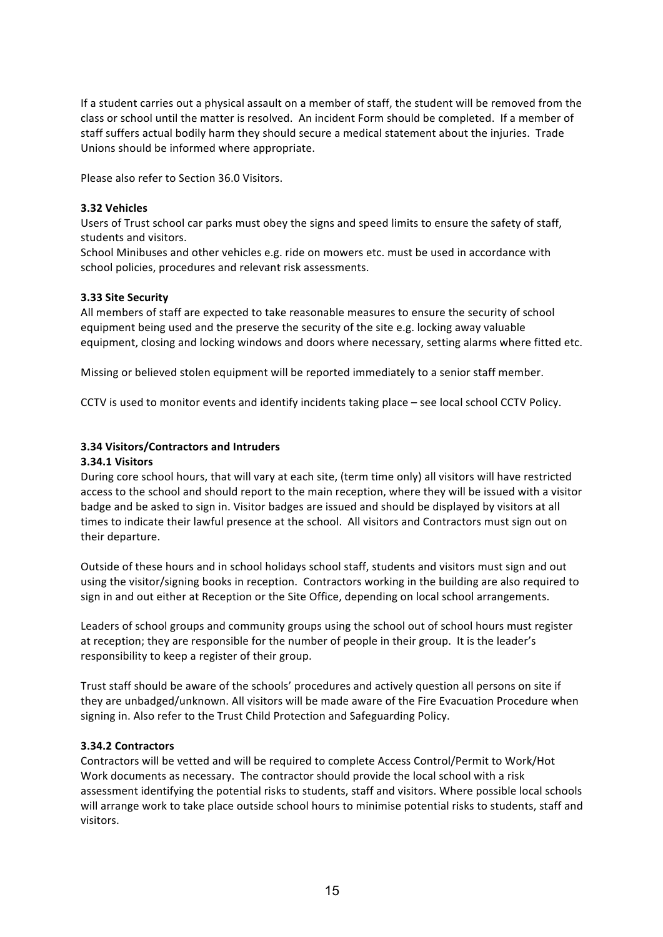If a student carries out a physical assault on a member of staff, the student will be removed from the class or school until the matter is resolved. An incident Form should be completed. If a member of staff suffers actual bodily harm they should secure a medical statement about the injuries. Trade Unions should be informed where appropriate.

Please also refer to Section 36.0 Visitors.

#### **3.32 Vehicles**

Users of Trust school car parks must obey the signs and speed limits to ensure the safety of staff, students and visitors.

School Minibuses and other vehicles e.g. ride on mowers etc. must be used in accordance with school policies, procedures and relevant risk assessments.

#### **3.33 Site Security**

All members of staff are expected to take reasonable measures to ensure the security of school equipment being used and the preserve the security of the site e.g. locking away valuable equipment, closing and locking windows and doors where necessary, setting alarms where fitted etc.

Missing or believed stolen equipment will be reported immediately to a senior staff member.

CCTV is used to monitor events and identify incidents taking place – see local school CCTV Policy.

#### **3.34 Visitors/Contractors and Intruders**

#### **3.34.1 Visitors**

During core school hours, that will vary at each site, (term time only) all visitors will have restricted access to the school and should report to the main reception, where they will be issued with a visitor badge and be asked to sign in. Visitor badges are issued and should be displayed by visitors at all times to indicate their lawful presence at the school. All visitors and Contractors must sign out on their departure.

Outside of these hours and in school holidays school staff, students and visitors must sign and out using the visitor/signing books in reception. Contractors working in the building are also required to sign in and out either at Reception or the Site Office, depending on local school arrangements.

Leaders of school groups and community groups using the school out of school hours must register at reception; they are responsible for the number of people in their group. It is the leader's responsibility to keep a register of their group.

Trust staff should be aware of the schools' procedures and actively question all persons on site if they are unbadged/unknown. All visitors will be made aware of the Fire Evacuation Procedure when signing in. Also refer to the Trust Child Protection and Safeguarding Policy.

#### **3.34.2 Contractors**

Contractors will be vetted and will be required to complete Access Control/Permit to Work/Hot Work documents as necessary. The contractor should provide the local school with a risk assessment identifying the potential risks to students, staff and visitors. Where possible local schools will arrange work to take place outside school hours to minimise potential risks to students, staff and visitors.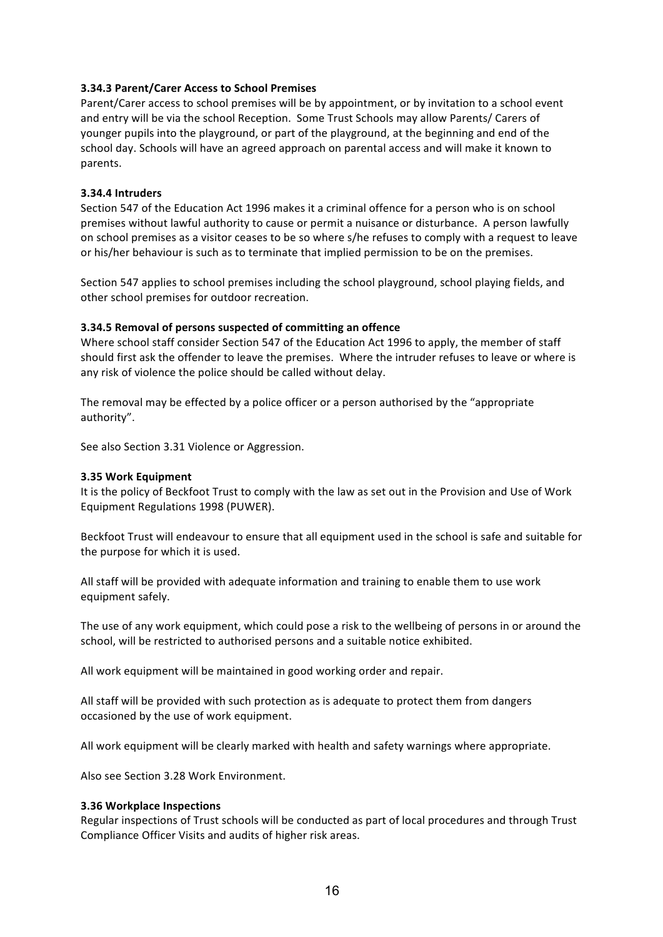#### **3.34.3 Parent/Carer Access to School Premises**

Parent/Carer access to school premises will be by appointment, or by invitation to a school event and entry will be via the school Reception. Some Trust Schools may allow Parents/ Carers of younger pupils into the playground, or part of the playground, at the beginning and end of the school day. Schools will have an agreed approach on parental access and will make it known to parents. 

#### **3.34.4 Intruders**

Section 547 of the Education Act 1996 makes it a criminal offence for a person who is on school premises without lawful authority to cause or permit a nuisance or disturbance. A person lawfully on school premises as a visitor ceases to be so where s/he refuses to comply with a request to leave or his/her behaviour is such as to terminate that implied permission to be on the premises.

Section 547 applies to school premises including the school playground, school playing fields, and other school premises for outdoor recreation.

#### **3.34.5 Removal of persons suspected of committing an offence**

Where school staff consider Section 547 of the Education Act 1996 to apply, the member of staff should first ask the offender to leave the premises. Where the intruder refuses to leave or where is any risk of violence the police should be called without delay.

The removal may be effected by a police officer or a person authorised by the "appropriate" authority".

See also Section 3.31 Violence or Aggression.

#### **3.35 Work Equipment**

It is the policy of Beckfoot Trust to comply with the law as set out in the Provision and Use of Work Equipment Regulations 1998 (PUWER).

Beckfoot Trust will endeavour to ensure that all equipment used in the school is safe and suitable for the purpose for which it is used.

All staff will be provided with adequate information and training to enable them to use work equipment safely.

The use of any work equipment, which could pose a risk to the wellbeing of persons in or around the school, will be restricted to authorised persons and a suitable notice exhibited.

All work equipment will be maintained in good working order and repair.

All staff will be provided with such protection as is adequate to protect them from dangers occasioned by the use of work equipment.

All work equipment will be clearly marked with health and safety warnings where appropriate.

Also see Section 3.28 Work Environment.

#### **3.36 Workplace Inspections**

Regular inspections of Trust schools will be conducted as part of local procedures and through Trust Compliance Officer Visits and audits of higher risk areas.